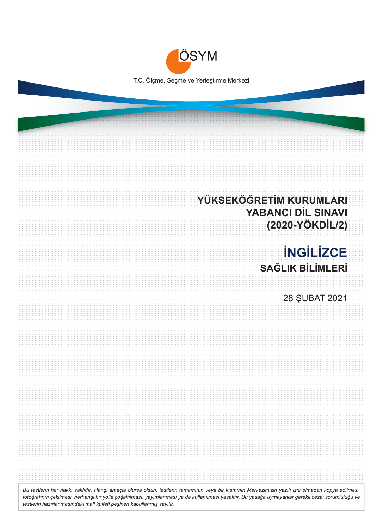

# **YÜKSEKÖĞRETİM KURUMLARI YABANCI DİL SINAVI (2020-YÖKDİL/2)**

# **İNGİLİZCE SAĞLIK BİLİMLERİ**

28 ŞUBAT 2021

*Bu testlerin her hakkı saklıdır. Hangi amaçla olursa olsun, testlerin tamamının veya bir kısmının Merkezimizin yazılı izni olmadan kopya edilmesi, fotoğrafının çekilmesi, herhangi bir yolla çoğaltılması, yayımlanması ya da kullanılması yasaktır. Bu yasağa uymayanlar gerekli cezai sorumluluğu ve testlerin hazırlanmasındaki mali külfeti peşinen kabullenmiş sayılır.*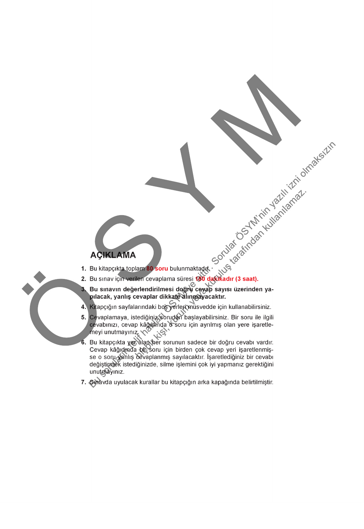- 
- 
- 
- 
- 
- **ACIKLAMA**<br>
1. Bu kitapejkia toplana 80 soru bulunmaking ke says il zerin (11) 120 km (12) 2011<br>
1. Bu kitapejkia toplana 80 soru bulunmaking ke says il zerinden ya-<br>
2. Bu sinav için maybulardak beş Peleggin says il zeri değiştirmek istediğinizde, silme işlemini çok iyi yapmanız gerektiğini unutnayınız.
	- 7. Şiravda uyulacak kurallar bu kitapçığın arka kapağında belirtilmiştir.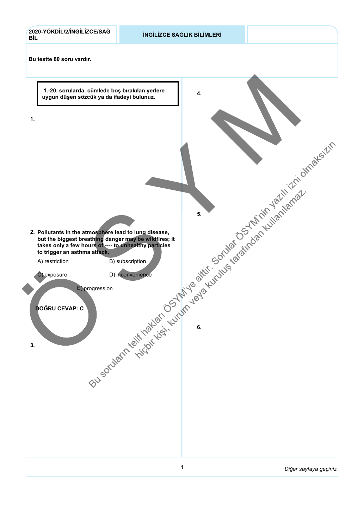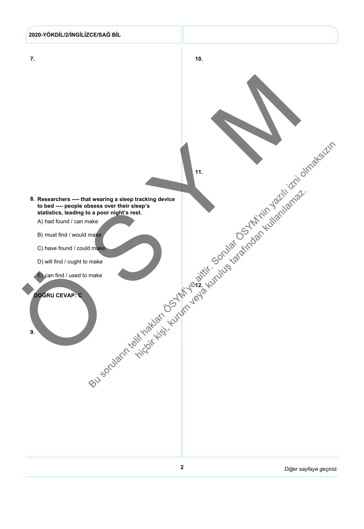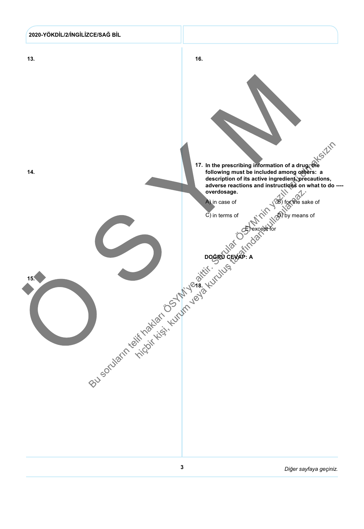

 $\mathbf{3}$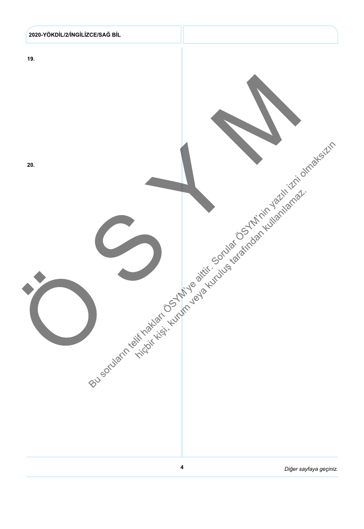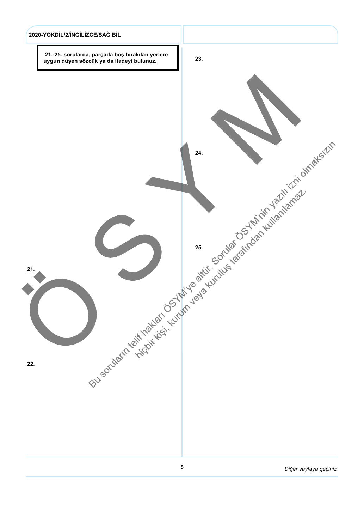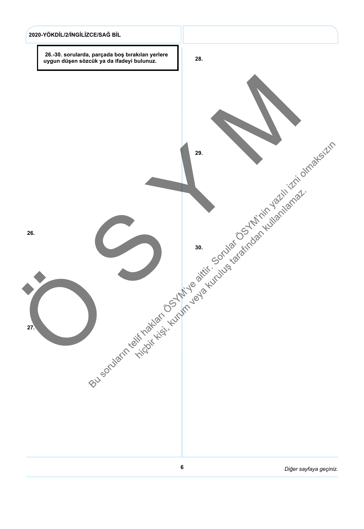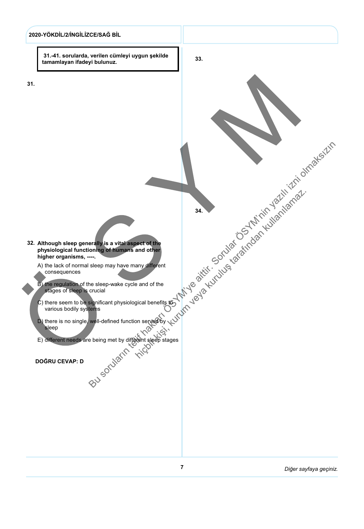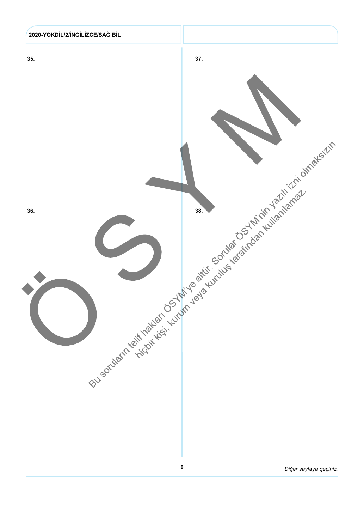

8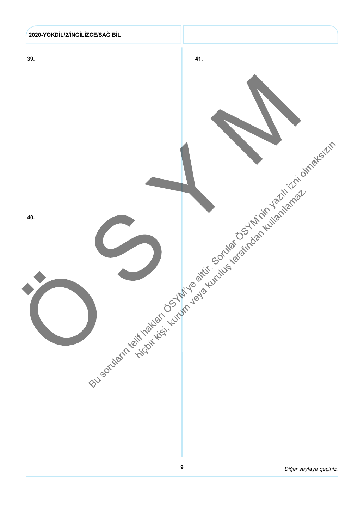

9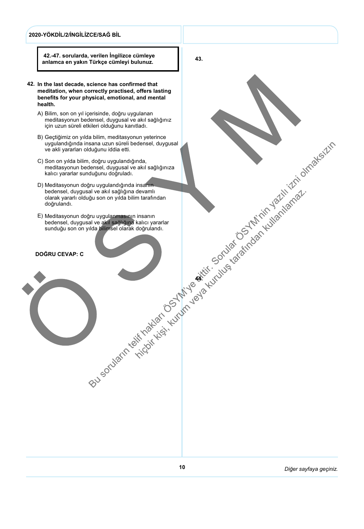#### 2020-YÖKDİL/2/İNGİLİZCE/SAĞ BİL

 42.-47. sorularda, verilen İngilizce cümleye anlamca en yakın Türkçe cümleyi bulunuz.

- 42. In the last decade, science has confirmed that meditation, when correctly practised, offers lasting benefits for your physical, emotional, and mental health.
	- A) Bilim, son on yıl içerisinde, doğru uygulanan meditasyonun bedensel, duygusal ve akıl sağlığınız için uzun süreli etkileri olduğunu kanıtladı.
	- B) Gectiğimiz on vılda bilim, meditasyonun yeterince uygulandığında insana uzun süreli bedensel, duygusal ve akli yararları olduğunu iddia etti.
	- C) Son on yılda bilim, doğru uygulandığında, meditasyonun bedensel, duygusal ve akıl sağlığınıza kalıcı yararlar sunduğunu doğruladı.
	- D) Meditasyonun doğru uygulandığında insanın bedensel, duygusal ve akıl sağlığına devamlı olarak yararlı olduğu son on yılda bilim tarafından doğrulandı. Rev. School and Marketing the Marketing of the Marketing of the Marketing of the Marketing of the Marketing of the Marketing of the Marketing of the Marketing of the Marketing of the Marketing of the Marketing of the Marke
	- E) Meditasyonun doğru uygulanmasının insanın bedensel, duygusal ve akıl sağlığına kalıcı yararlar sunduğu son on yılda bilimsel olarak doğrulandı.

#### **DOĞRU CEVAP: C**

43.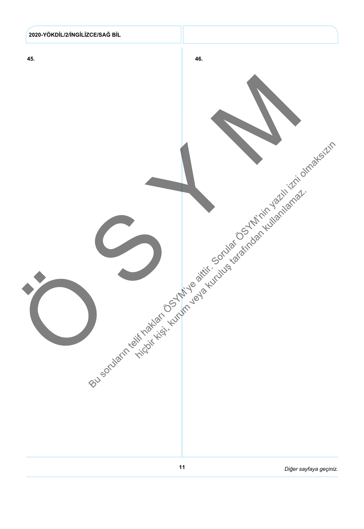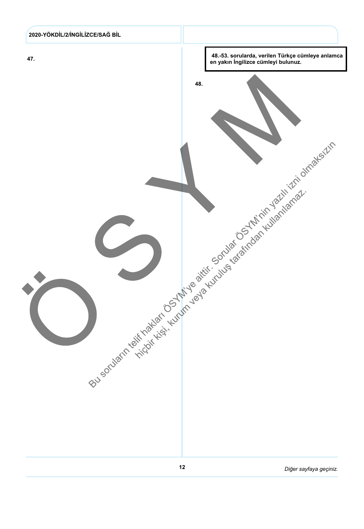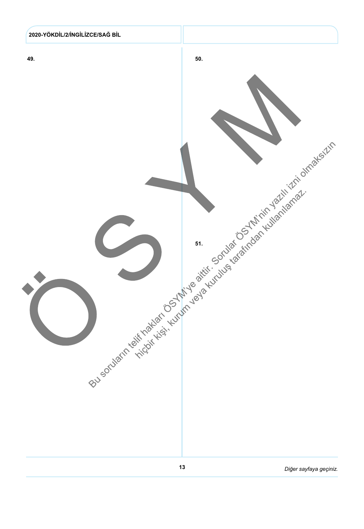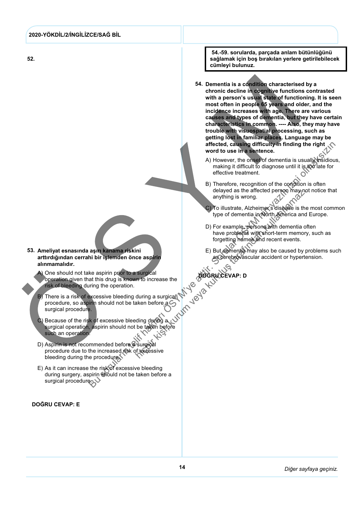#### 2020-YÖKDİL/2/İNGİLİZCE/SAĞ BİL

52.

 54.-59. sorularda, parçada anlam bütünlüğünü sağlamak için boş bırakılan yerlere getirilebilecek cümleyi bulunuz.

- 54. Dementia is a condition characterised by a chronic decline in cognitive functions contrasted with a person's usual state of functioning. It is seen most often in people 65 years and older, and the incidence increases with age. There are various causes and types of dementia, but they have certain characteristics in common. ---- Also, they may have trouble with visuospatial processing, such as getting lost in familiar places. Language may be affected, causing difficulty in finding the right word to use in a sentence.
	- A) However, the onset of dementia is usually insidious. making it difficult to diagnose until it is too late for effective treatment.
	- B) Therefore, recognition of the condition is often delayed as the affected person may not notice that anything is wrong.
	- C) To illustrate, Alzheimer's disease is the most common type of dementia in North America and Europe.
	- D) For example, persons with dementia often have problems with short-term memory, such as forgetting names and recent events.  $\sigma$
	- E) But dementia may also be caused by problems such as cerebrovascular accident or hypertension.

53. Ameliyat esnasında aşırı kanama riskini arttırdığından cerrahi bir işlemden önce aspirin alınmamalıdır.

- One should not take aspirin prior to a surgical operation given that this drug is known to increase the risk of bleeding during the operation. A)
- There is a risk of excessive bleeding during a surgical procedure, so aspirin should not be taken before a .<br>surgical procedure. B)
- Because of the risk of excessive bleeding during a surgical operation, aspirin should not be taken before such an operation. C)
- Aspirin is not recommended before @surgical procedure due to the increased risk of excessive bleeding during the procedure. D)
- E) As it can increase the risk of excessive bleeding during surgery, aspirin should not be taken before a surgical procedure.

#### **DOĞRU CEVAP: E**



**DOĞRU CEVAP: D**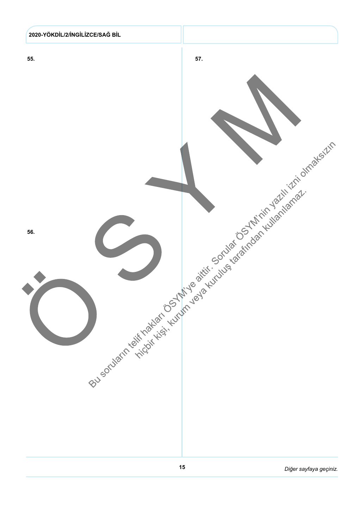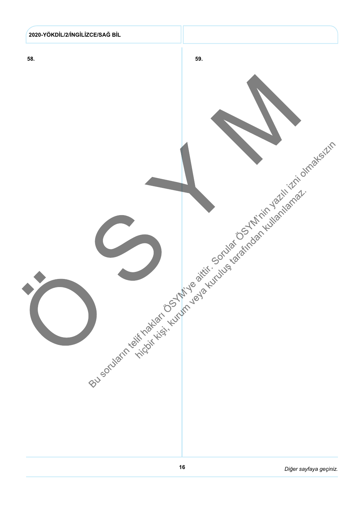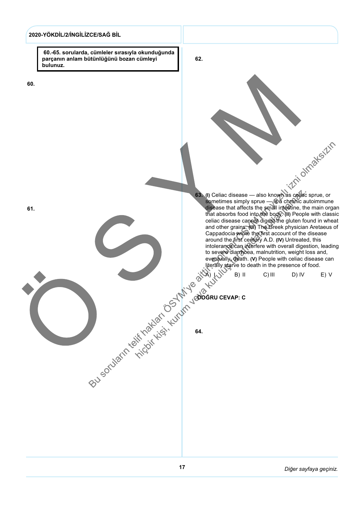### 2020-YÖKDİL/2/İNGİLİZCE/SAĞ BİL

 60.-65. sorularda, cümleler sırasıyla okunduğunda parçanın anlam bütünlüğünü bozan cümleyi bulunuz.

62.

63.

64.

**DOĞRU CEVAP: C** 

(I) Celiac disease — also known as celiac sprue, or sometimes simply sprue — is a chronic autoimmune disease that affects the small intestine, the main organ that absorbs food into the body. (II) People with classic celiac disease cannot digest the gluten found in wheat and other grains. (III) The Greek physician Aretaeus of Cappadocia wrote the first account of the disease around the first century A.D. (IV) Untreated, this intolerance can interfere with overall digestion, leading to severe diarrhoea, malnutrition, weight loss and, eventually, death. (V) People with celiac disease can literally starve to death in the presence of food.  $\mathsf{A} \cup \mathsf{I} \setminus \mathsf{I}$   $\mathsf{B} \cup \mathsf{II}$  C) III D) IV E) V

60.

61.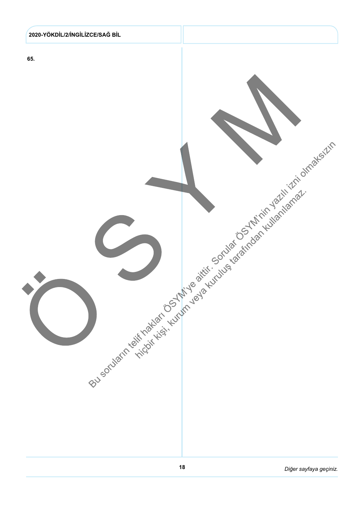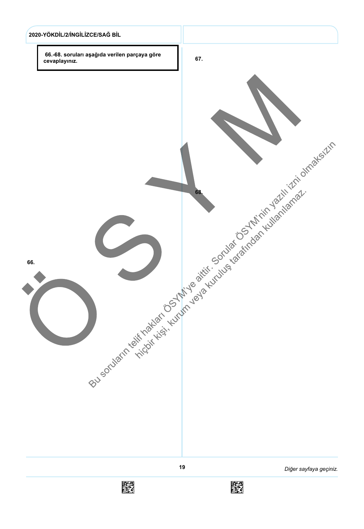

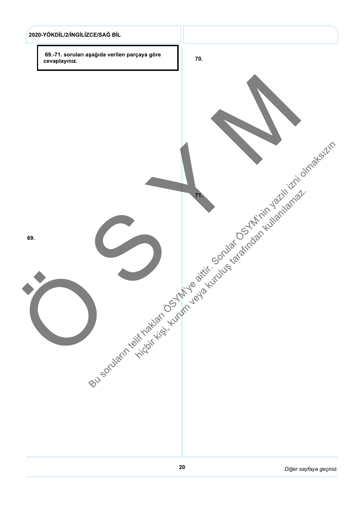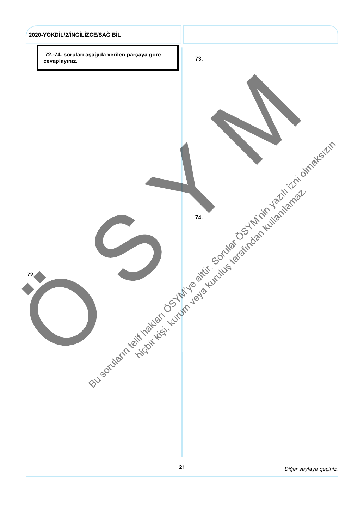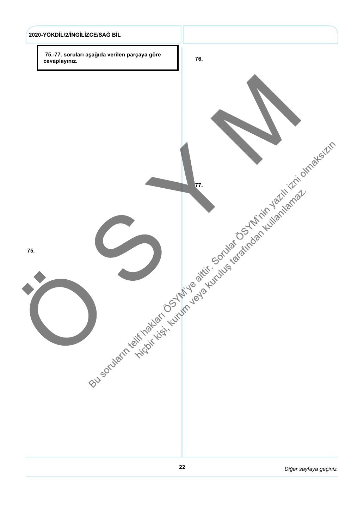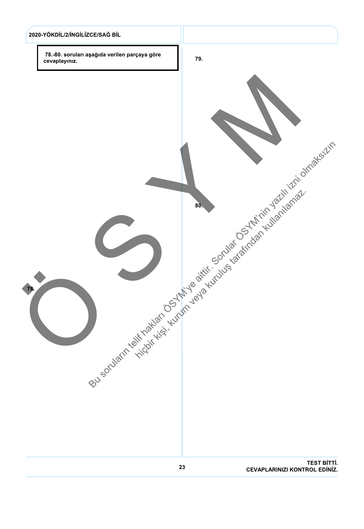